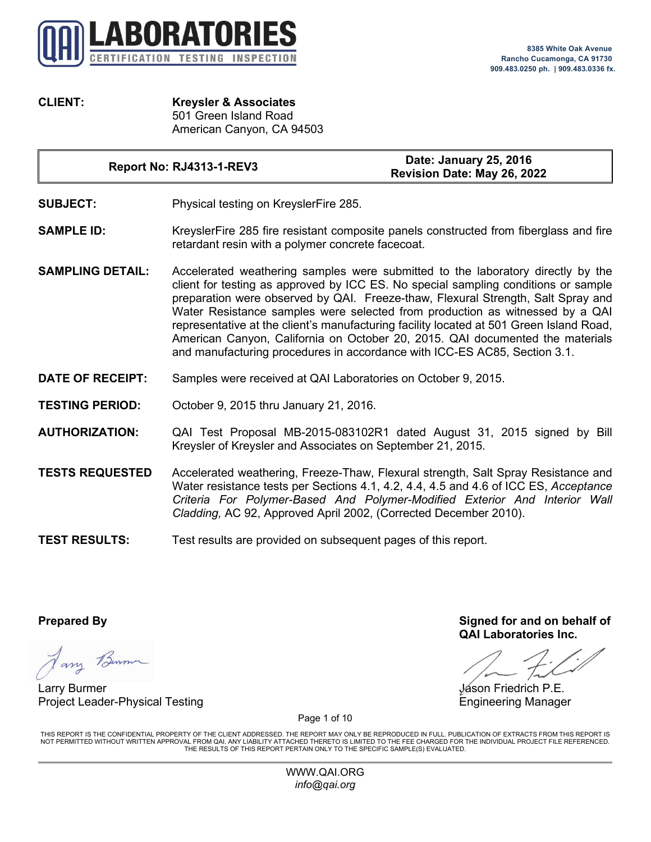

**CLIENT: Kreysler & Associates** 501 Green Island Road American Canyon, CA 94503

**Report No: RJ4313-1-REV3 Date: January 25, 2016**

**Revision Date: May 26, 2022**

- **SUBJECT:** Physical testing on KreyslerFire 285.
- **SAMPLE ID:** KreyslerFire 285 fire resistant composite panels constructed from fiberglass and fire retardant resin with a polymer concrete facecoat.
- **SAMPLING DETAIL:** Accelerated weathering samples were submitted to the laboratory directly by the client for testing as approved by ICC ES. No special sampling conditions or sample preparation were observed by QAI. Freeze-thaw, Flexural Strength, Salt Spray and Water Resistance samples were selected from production as witnessed by a QAI representative at the client's manufacturing facility located at 501 Green Island Road, American Canyon, California on October 20, 2015. QAI documented the materials and manufacturing procedures in accordance with ICC-ES AC85, Section 3.1.
- **DATE OF RECEIPT:** Samples were received at QAI Laboratories on October 9, 2015.
- **TESTING PERIOD:** October 9, 2015 thru January 21, 2016.
- **AUTHORIZATION:** QAI Test Proposal MB-2015-083102R1 dated August 31, 2015 signed by Bill Kreysler of Kreysler and Associates on September 21, 2015.
- **TESTS REQUESTED** Accelerated weathering, Freeze-Thaw, Flexural strength, Salt Spray Resistance and Water resistance tests per Sections 4.1, 4.2, 4.4, 4.5 and 4.6 of ICC ES, *Acceptance Criteria For Polymer-Based And Polymer-Modified Exterior And Interior Wall Cladding,* AC 92, Approved April 2002, (Corrected December 2010).
- **TEST RESULTS:** Test results are provided on subsequent pages of this report.

Jany Benner

Larry Burmer Jason Friedrich P.E. Project Leader-Physical Testing Engineering Manager

**Prepared By Signed for and on behalf of QAI Laboratories Inc.**

Page 1 of 10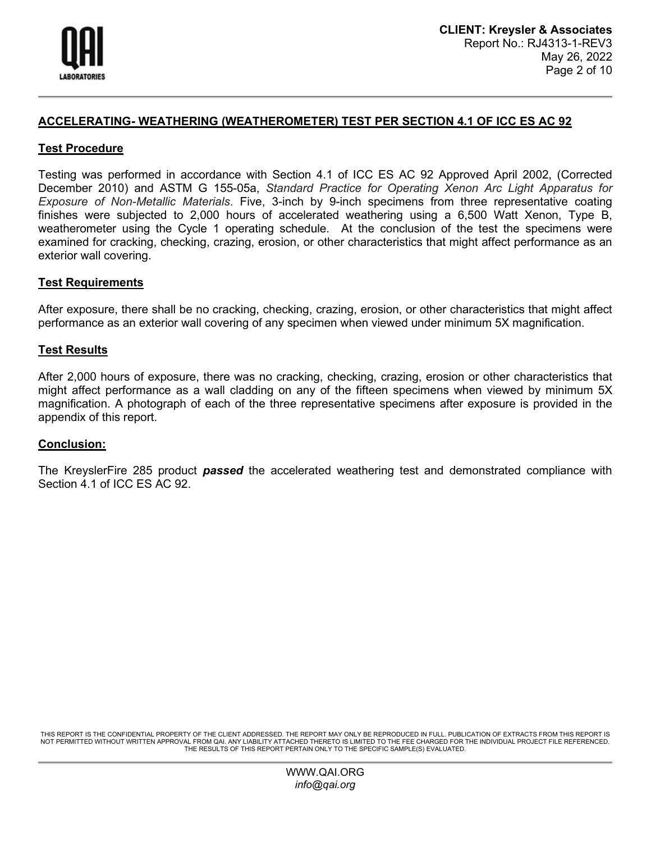

## **ACCELERATING- WEATHERING (WEATHEROMETER) TEST PER SECTION 4.1 OF ICC ES AC 92**

### **Test Procedure**

Testing was performed in accordance with Section 4.1 of ICC ES AC 92 Approved April 2002, (Corrected December 2010) and ASTM G 155-05a, *Standard Practice for Operating Xenon Arc Light Apparatus for Exposure of Non-Metallic Materials*. Five, 3-inch by 9-inch specimens from three representative coating finishes were subjected to 2,000 hours of accelerated weathering using a 6,500 Watt Xenon, Type B, weatherometer using the Cycle 1 operating schedule. At the conclusion of the test the specimens were examined for cracking, checking, crazing, erosion, or other characteristics that might affect performance as an exterior wall covering.

## **Test Requirements**

After exposure, there shall be no cracking, checking, crazing, erosion, or other characteristics that might affect performance as an exterior wall covering of any specimen when viewed under minimum 5X magnification.

### **Test Results**

After 2,000 hours of exposure, there was no cracking, checking, crazing, erosion or other characteristics that might affect performance as a wall cladding on any of the fifteen specimens when viewed by minimum 5X magnification. A photograph of each of the three representative specimens after exposure is provided in the appendix of this report.

### **Conclusion:**

The KreyslerFire 285 product *passed* the accelerated weathering test and demonstrated compliance with Section 4.1 of ICC ES AC 92.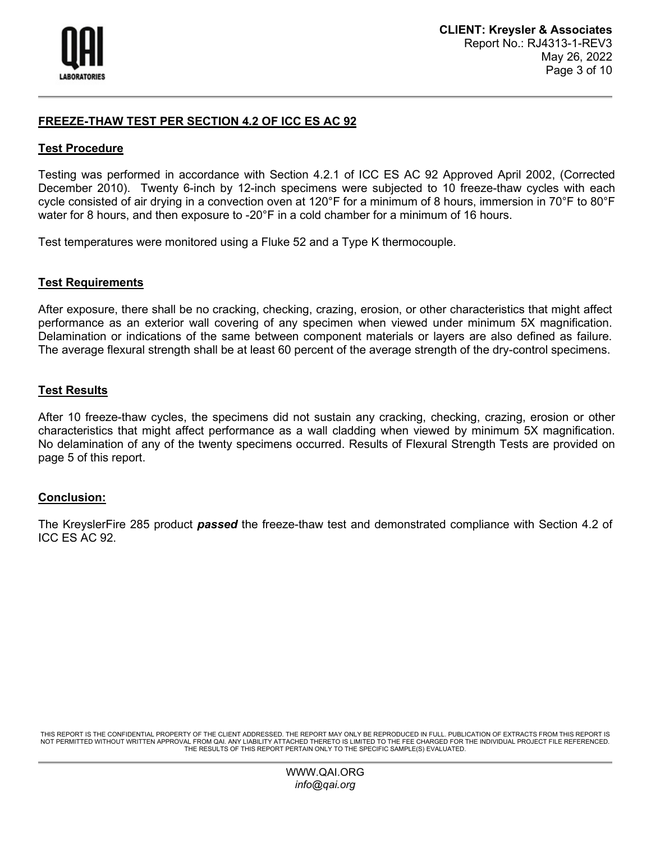

# **FREEZE-THAW TEST PER SECTION 4.2 OF ICC ES AC 92**

### **Test Procedure**

Testing was performed in accordance with Section 4.2.1 of ICC ES AC 92 Approved April 2002, (Corrected December 2010). Twenty 6-inch by 12-inch specimens were subjected to 10 freeze-thaw cycles with each cycle consisted of air drying in a convection oven at 120°F for a minimum of 8 hours, immersion in 70°F to 80°F water for 8 hours, and then exposure to -20°F in a cold chamber for a minimum of 16 hours.

Test temperatures were monitored using a Fluke 52 and a Type K thermocouple.

### **Test Requirements**

After exposure, there shall be no cracking, checking, crazing, erosion, or other characteristics that might affect performance as an exterior wall covering of any specimen when viewed under minimum 5X magnification. Delamination or indications of the same between component materials or layers are also defined as failure. The average flexural strength shall be at least 60 percent of the average strength of the dry-control specimens.

### **Test Results**

After 10 freeze-thaw cycles, the specimens did not sustain any cracking, checking, crazing, erosion or other characteristics that might affect performance as a wall cladding when viewed by minimum 5X magnification. No delamination of any of the twenty specimens occurred. Results of Flexural Strength Tests are provided on page 5 of this report.

### **Conclusion:**

The KreyslerFire 285 product *passed* the freeze-thaw test and demonstrated compliance with Section 4.2 of ICC ES AC 92.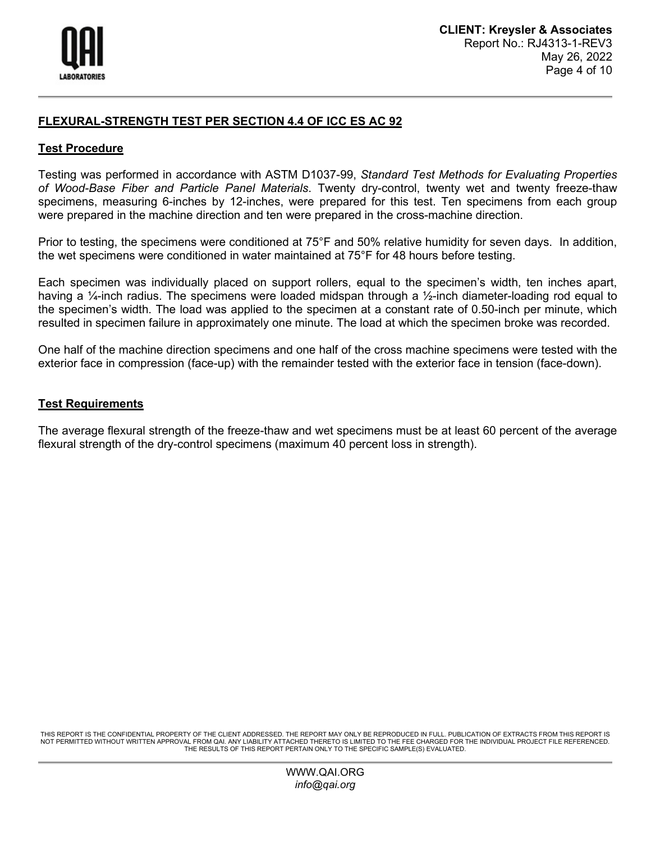

# **FLEXURAL-STRENGTH TEST PER SECTION 4.4 OF ICC ES AC 92**

### **Test Procedure**

Testing was performed in accordance with ASTM D1037-99, *Standard Test Methods for Evaluating Properties of Wood-Base Fiber and Particle Panel Materials*. Twenty dry-control, twenty wet and twenty freeze-thaw specimens, measuring 6-inches by 12-inches, were prepared for this test. Ten specimens from each group were prepared in the machine direction and ten were prepared in the cross-machine direction.

Prior to testing, the specimens were conditioned at 75°F and 50% relative humidity for seven days. In addition, the wet specimens were conditioned in water maintained at 75°F for 48 hours before testing.

Each specimen was individually placed on support rollers, equal to the specimen's width, ten inches apart, having a ¼-inch radius. The specimens were loaded midspan through a ½-inch diameter-loading rod equal to the specimen's width. The load was applied to the specimen at a constant rate of 0.50-inch per minute, which resulted in specimen failure in approximately one minute. The load at which the specimen broke was recorded.

One half of the machine direction specimens and one half of the cross machine specimens were tested with the exterior face in compression (face-up) with the remainder tested with the exterior face in tension (face-down).

#### **Test Requirements**

The average flexural strength of the freeze-thaw and wet specimens must be at least 60 percent of the average flexural strength of the dry-control specimens (maximum 40 percent loss in strength).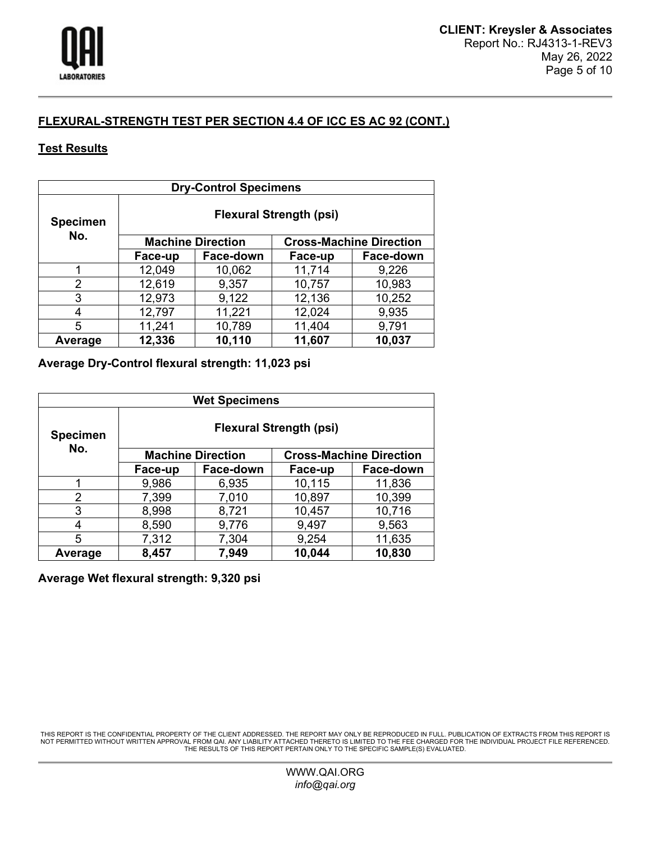

# **FLEXURAL-STRENGTH TEST PER SECTION 4.4 OF ICC ES AC 92 (CONT.)**

# **Test Results**

| <b>Dry-Control Specimens</b> |                                |           |                                |           |
|------------------------------|--------------------------------|-----------|--------------------------------|-----------|
| <b>Specimen</b>              | <b>Flexural Strength (psi)</b> |           |                                |           |
| No.                          | <b>Machine Direction</b>       |           | <b>Cross-Machine Direction</b> |           |
|                              | Face-up                        | Face-down | Face-up                        | Face-down |
|                              | 12,049                         | 10,062    | 11,714                         | 9,226     |
| 2                            | 12,619                         | 9,357     | 10,757                         | 10,983    |
| 3                            | 12,973                         | 9,122     | 12,136                         | 10,252    |
| 4                            | 12,797                         | 11,221    | 12,024                         | 9,935     |
| 5                            | 11,241                         | 10,789    | 11,404                         | 9,791     |
| Average                      | 12,336                         | 10,110    | 11,607                         | 10,037    |

**Average Dry-Control flexural strength: 11,023 psi**

| <b>Wet Specimens</b> |                                |           |                                |           |
|----------------------|--------------------------------|-----------|--------------------------------|-----------|
| <b>Specimen</b>      | <b>Flexural Strength (psi)</b> |           |                                |           |
| No.                  | <b>Machine Direction</b>       |           | <b>Cross-Machine Direction</b> |           |
|                      | Face-up                        | Face-down | Face-up                        | Face-down |
|                      | 9,986                          | 6,935     | 10,115                         | 11,836    |
| 2                    | 7,399                          | 7,010     | 10,897                         | 10,399    |
| 3                    | 8,998                          | 8,721     | 10,457                         | 10,716    |
| 4                    | 8,590                          | 9,776     | 9,497                          | 9,563     |
| 5                    | 7,312                          | 7,304     | 9,254                          | 11,635    |
| Average              | 8,457                          | 7,949     | 10,044                         | 10,830    |

# **Average Wet flexural strength: 9,320 psi**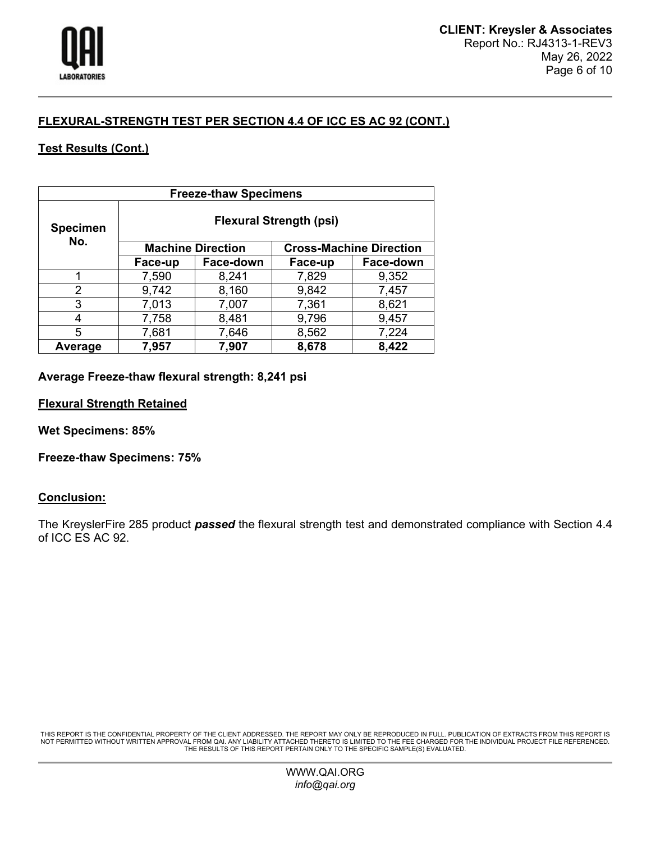

# **FLEXURAL-STRENGTH TEST PER SECTION 4.4 OF ICC ES AC 92 (CONT.)**

# **Test Results (Cont.)**

| <b>Freeze-thaw Specimens</b> |                                |           |                                |           |
|------------------------------|--------------------------------|-----------|--------------------------------|-----------|
| <b>Specimen</b><br>No.       | <b>Flexural Strength (psi)</b> |           |                                |           |
|                              | <b>Machine Direction</b>       |           | <b>Cross-Machine Direction</b> |           |
|                              | Face-up                        | Face-down | Face-up                        | Face-down |
|                              | 7,590                          | 8,241     | 7,829                          | 9,352     |
| 2                            | 9,742                          | 8,160     | 9,842                          | 7,457     |
| 3                            | 7,013                          | 7,007     | 7,361                          | 8,621     |
| 4                            | 7,758                          | 8,481     | 9,796                          | 9,457     |
| 5                            | 7,681                          | 7,646     | 8,562                          | 7,224     |
| Average                      | 7,957                          | 7,907     | 8,678                          | 8,422     |

## **Average Freeze-thaw flexural strength: 8,241 psi**

**Flexural Strength Retained**

**Wet Specimens: 85%** 

**Freeze-thaw Specimens: 75%** 

### **Conclusion:**

The KreyslerFire 285 product *passed* the flexural strength test and demonstrated compliance with Section 4.4 of ICC ES AC 92.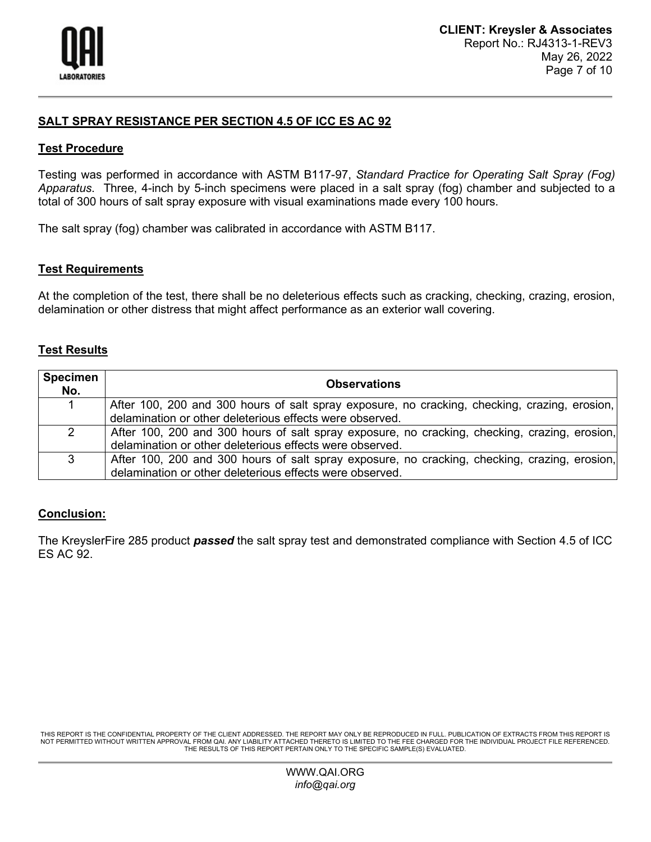

# **SALT SPRAY RESISTANCE PER SECTION 4.5 OF ICC ES AC 92**

## **Test Procedure**

Testing was performed in accordance with ASTM B117-97, *Standard Practice for Operating Salt Spray (Fog) Apparatus*. Three, 4-inch by 5-inch specimens were placed in a salt spray (fog) chamber and subjected to a total of 300 hours of salt spray exposure with visual examinations made every 100 hours.

The salt spray (fog) chamber was calibrated in accordance with ASTM B117.

## **Test Requirements**

At the completion of the test, there shall be no deleterious effects such as cracking, checking, crazing, erosion, delamination or other distress that might affect performance as an exterior wall covering.

# **Test Results**

| <b>Specimen</b><br>No. | <b>Observations</b>                                                                           |
|------------------------|-----------------------------------------------------------------------------------------------|
|                        | After 100, 200 and 300 hours of salt spray exposure, no cracking, checking, crazing, erosion, |
|                        | delamination or other deleterious effects were observed.                                      |
| $\overline{2}$         | After 100, 200 and 300 hours of salt spray exposure, no cracking, checking, crazing, erosion, |
|                        | delamination or other deleterious effects were observed.                                      |
| 3                      | After 100, 200 and 300 hours of salt spray exposure, no cracking, checking, crazing, erosion, |
|                        | delamination or other deleterious effects were observed.                                      |

# **Conclusion:**

The KreyslerFire 285 product *passed* the salt spray test and demonstrated compliance with Section 4.5 of ICC ES AC 92.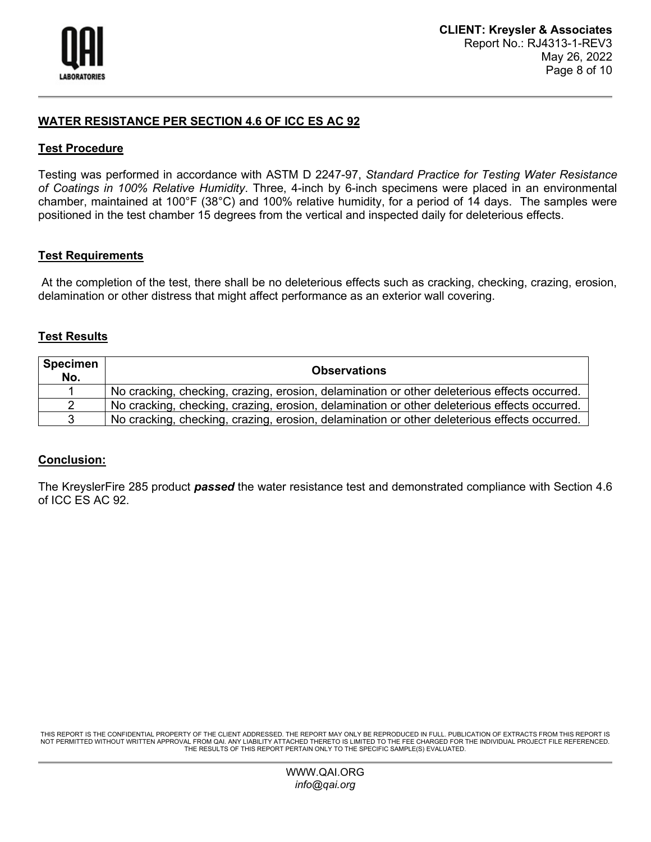

## **WATER RESISTANCE PER SECTION 4.6 OF ICC ES AC 92**

### **Test Procedure**

Testing was performed in accordance with ASTM D 2247-97, *Standard Practice for Testing Water Resistance of Coatings in 100% Relative Humidity*. Three, 4-inch by 6-inch specimens were placed in an environmental chamber, maintained at 100°F (38°C) and 100% relative humidity, for a period of 14 days. The samples were positioned in the test chamber 15 degrees from the vertical and inspected daily for deleterious effects.

### **Test Requirements**

At the completion of the test, there shall be no deleterious effects such as cracking, checking, crazing, erosion, delamination or other distress that might affect performance as an exterior wall covering.

### **Test Results**

| <b>Specimen</b><br>No. | <b>Observations</b>                                                                          |
|------------------------|----------------------------------------------------------------------------------------------|
|                        | No cracking, checking, crazing, erosion, delamination or other deleterious effects occurred. |
| 2                      | No cracking, checking, crazing, erosion, delamination or other deleterious effects occurred. |
| 3                      | No cracking, checking, crazing, erosion, delamination or other deleterious effects occurred. |

### **Conclusion:**

The KreyslerFire 285 product *passed* the water resistance test and demonstrated compliance with Section 4.6 of ICC ES AC 92.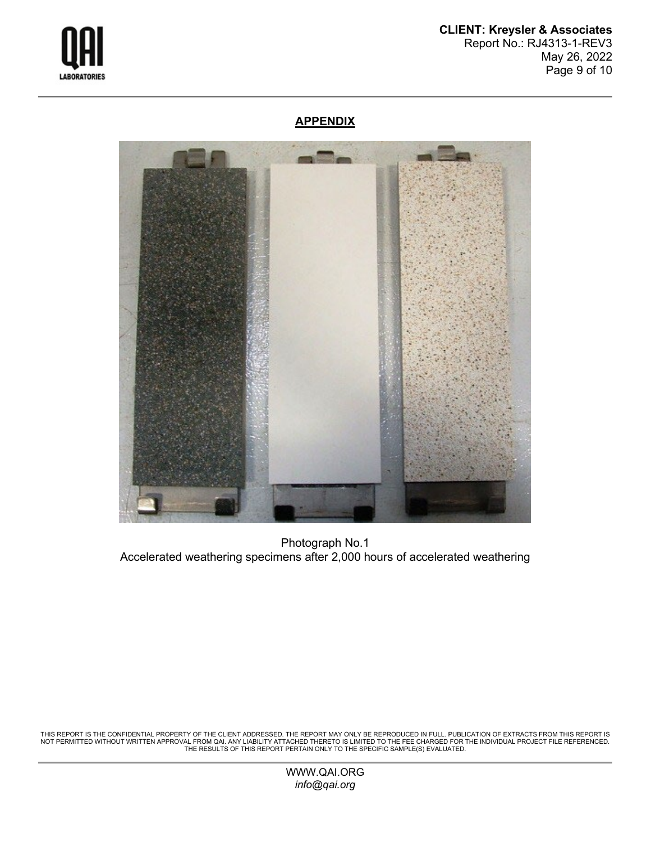

### **CLIENT: Kreysler & Associates** Report No.: RJ4313-1-REV3 May 26, 2022 Page 9 of 10

# **APPENDIX**



Photograph No.1 Accelerated weathering specimens after 2,000 hours of accelerated weathering